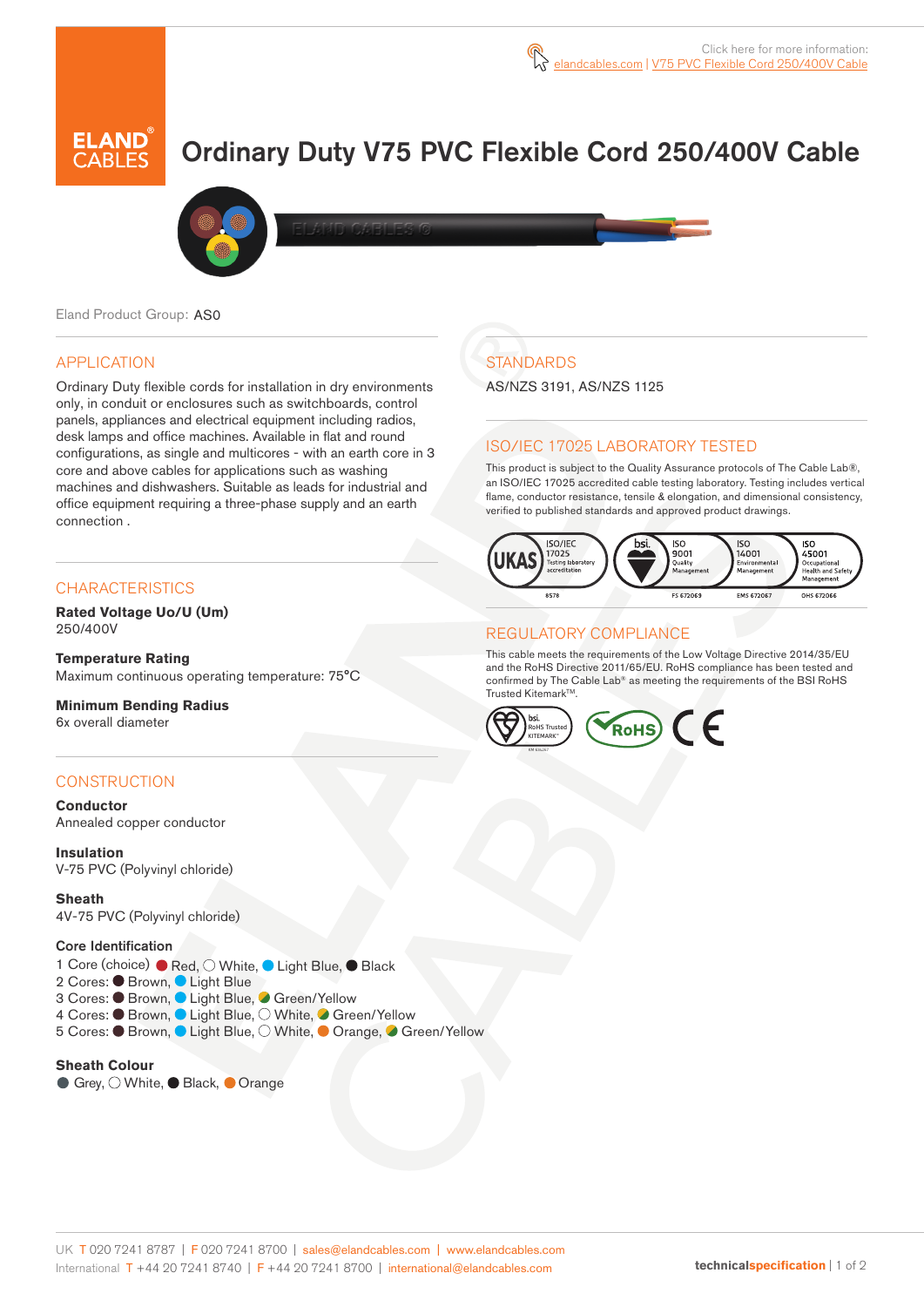# Ordinary Duty V75 PVC Flexible Cord 250/400V Cable



Eland Product Group: AS0

### APPLICATION

Ordinary Duty flexible cords for installation in dry environments only, in conduit or enclosures such as switchboards, control panels, appliances and electrical equipment including radios, desk lamps and office machines. Available in flat and round configurations, as single and multicores - with an earth core in 3 core and above cables for applications such as washing machines and dishwashers. Suitable as leads for industrial and office equipment requiring a three-phase supply and an earth connection .

#### **CHARACTERISTICS**

**Rated Voltage Uo/U (Um)**  250/400V

**Temperature Rating** Maximum continuous operating temperature: 75°C

**Minimum Bending Radius**  6x overall diameter

### **CONSTRUCTION**

**Conductor** Annealed copper conductor

**Insulation** V-75 PVC (Polyvinyl chloride)

**Sheath** 4V-75 PVC (Polyvinyl chloride)

Core Identification

1 Core (choice) ● Red, O White, ● Light Blue, ● Black

- 2 Cores: Brown, Light Blue
- 3 Cores: Brown, Light Blue, Green/Yellow
- 4 Cores: Brown, Light Blue, White, Green/Yellow
- 5 Cores: Brown, Light Blue, O White, Orange, Green/Yellow

**Sheath Colour**  ● Grey,  $\bigcirc$  White, ● Black, ● Orange

# **STANDARDS**

AS/NZS 3191, AS/NZS 1125

### ISO/IEC 17025 LABORATORY TESTED

This product is subject to the Quality Assurance protocols of The Cable Lab®, an ISO/IEC 17025 accredited cable testing laboratory. Testing includes vertical flame, conductor resistance, tensile & elongation, and dimensional consistency, verified to published standards and approved product drawings.



#### REGULATORY COMPLIANCE

This cable meets the requirements of the Low Voltage Directive 2014/35/EU and the RoHS Directive 2011/65/EU. RoHS compliance has been tested and confirmed by The Cable Lab® as meeting the requirements of the BSI RoHS Trusted Kitemark™